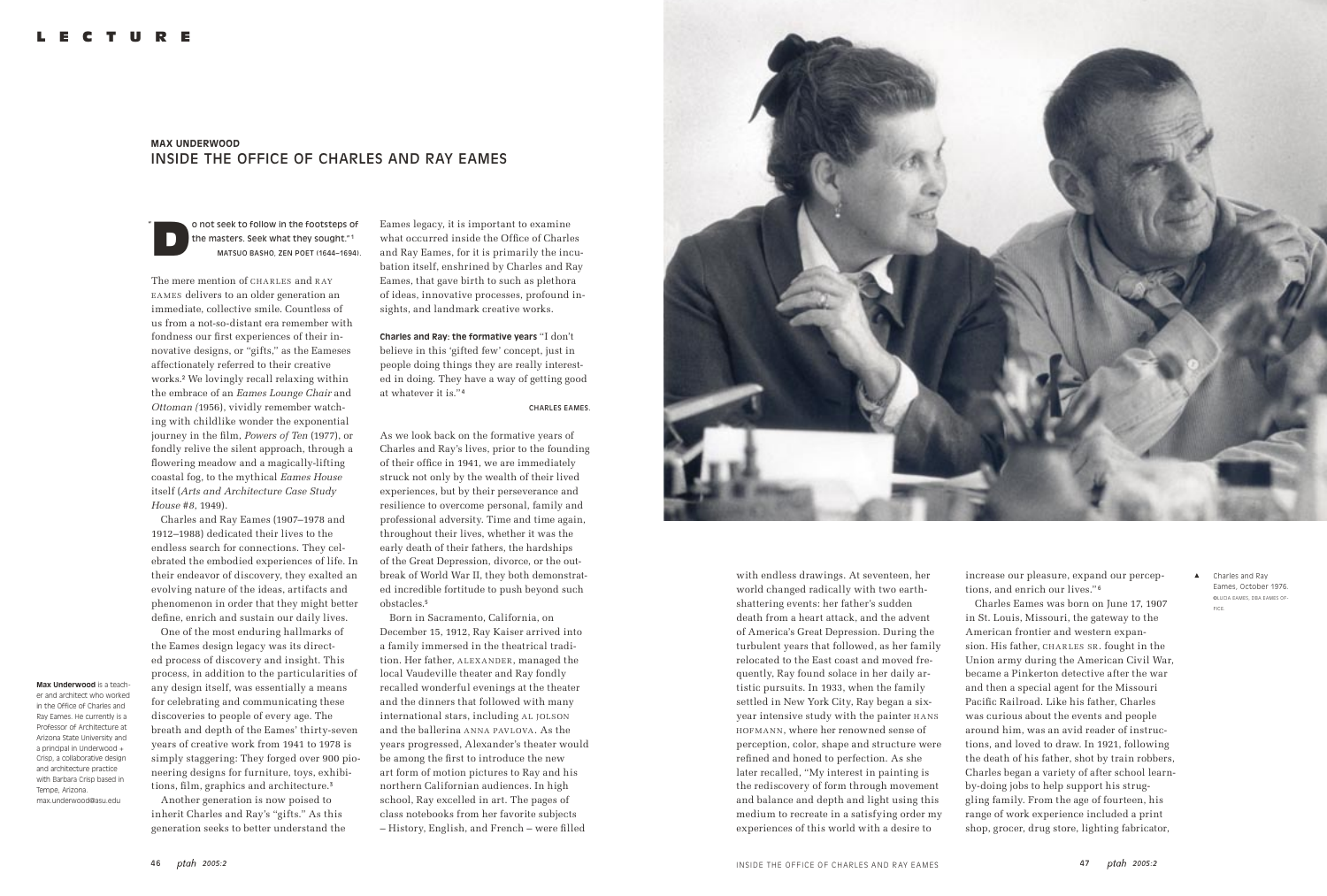# **MAX UNDERWOOD**  INSIDE THE OFFICE OF CHARLES AND RAY EAMES

o not seek to follow in the footsteps of the masters. Seek what they sought."<sup>1</sup> MATSUO BASHO, ZEN POET (1644–1694).

The mere mention of CHARLES and RAY EAMES delivers to an older generation an immediate, collective smile. Countless of us from a not-so-distant era remember with fondness our first experiences of their innovative designs, or "gifts," as the Eameses affectionately referred to their creative works.<sup>2</sup> We lovingly recall relaxing within the embrace of an *Eames Lounge Chair* and *Ottoman (*1956), vividly remember watching with childlike wonder the exponential journey in the film, *Powers of Ten* (1977), or fondly relive the silent approach, through a flowering meadow and a magically-lifting coastal fog, to the mythical *Eames House* itself (*Arts and Architecture Case Study House #8*, 1949).

Charles and Ray Eames (1907–1978 and 1912–1988) dedicated their lives to the endless search for connections. They celebrated the embodied experiences of life. In their endeavor of discovery, they exalted an evolving nature of the ideas, artifacts and phenomenon in order that they might better define, enrich and sustain our daily lives.

One of the most enduring hallmarks of the Eames design legacy was its directed process of discovery and insight. This process, in addition to the particularities of any design itself, was essentially a means for celebrating and communicating these discoveries to people of every age. The breath and depth of the Eames' thirty-seven years of creative work from 1941 to 1978 is simply staggering: They forged over 900 pioneering designs for furniture, toys, exhibitions, film, graphics and architecture.<sup>3</sup> Another generation is now poised to inherit Charles and Ray's "gifts." As this generation seeks to better understand the

**Max Underwood** is a teacher and architect who worked in the Office of Charles and Ray Eames. He currently is a Professor of Architecture at Arizona State University and a principal in Underwood + Crisp, a collaborative design and architecture practice with Barbara Crisp based in Tempe, Arizona. max.underwood@asu.edu

Eames legacy, it is important to examine what occurred inside the Office of Charles and Ray Eames, for it is primarily the incubation itself, enshrined by Charles and Ray Eames, that gave birth to such as plethora of ideas, innovative processes, profound insights, and landmark creative works.

**Charles and Ray: the formative years** "I don't believe in this 'gifted few' concept, just in people doing things they are really interested in doing. They have a way of getting good at whatever it is." <sup>4</sup>

#### CHARLES EAMES.

As we look back on the formative years of Charles and Ray's lives, prior to the founding of their office in 1941, we are immediately struck not only by the wealth of their lived experiences, but by their perseverance and resilience to overcome personal, family and professional adversity. Time and time again, throughout their lives, whether it was the early death of their fathers, the hardships of the Great Depression, divorce, or the outbreak of World War II, they both demonstrated incredible fortitude to push beyond such obstacles.<sup>5</sup>

Born in Sacramento, California, on December 15, 1912, Ray Kaiser arrived into a family immersed in the theatrical tradition. Her father, ALEXANDER, managed the local Vaudeville theater and Ray fondly recalled wonderful evenings at the theater and the dinners that followed with many international stars, including AL JOLSON and the ballerina ANNA PAVLOVA. As the years progressed, Alexander's theater would be among the first to introduce the new art form of motion pictures to Ray and his northern Californian audiences. In high school, Ray excelled in art. The pages of class notebooks from her favorite subjects – History, English, and French – were filled



"

with endless drawings. At seventeen, her world changed radically with two earthshattering events: her father's sudden death from a heart attack, and the advent of America's Great Depression. During the turbulent years that followed, as her family relocated to the East coast and moved frequently, Ray found solace in her daily artistic pursuits. In 1933, when the family settled in New York City, Ray began a sixyear intensive study with the painter HANS HOFMANN, where her renowned sense of perception, color, shape and structure were refined and honed to perfection. As she later recalled, "My interest in painting is the rediscovery of form through movement and balance and depth and light using this medium to recreate in a satisfying order my experiences of this world with a desire to

increase our pleasure, expand our perceptions, and enrich our lives." <sup>6</sup>

Charles Eames was born on June 17, 1907 in St. Louis, Missouri, the gateway to the American frontier and western expansion. His father, CHARLES SR. fought in the Union army during the American Civil War, became a Pinkerton detective after the war and then a special agent for the Missouri Pacific Railroad. Like his father, Charles was curious about the events and people around him, was an avid reader of instructions, and loved to draw. In 1921, following the death of his father, shot by train robbers, Charles began a variety of after school learnby-doing jobs to help support his struggling family. From the age of fourteen, his range of work experience included a print shop, grocer, drug store, lighting fabricator,

Charles and Ray Eames, October 1976. ©LUCIA EAMES, DBA EAMES OF-FICE.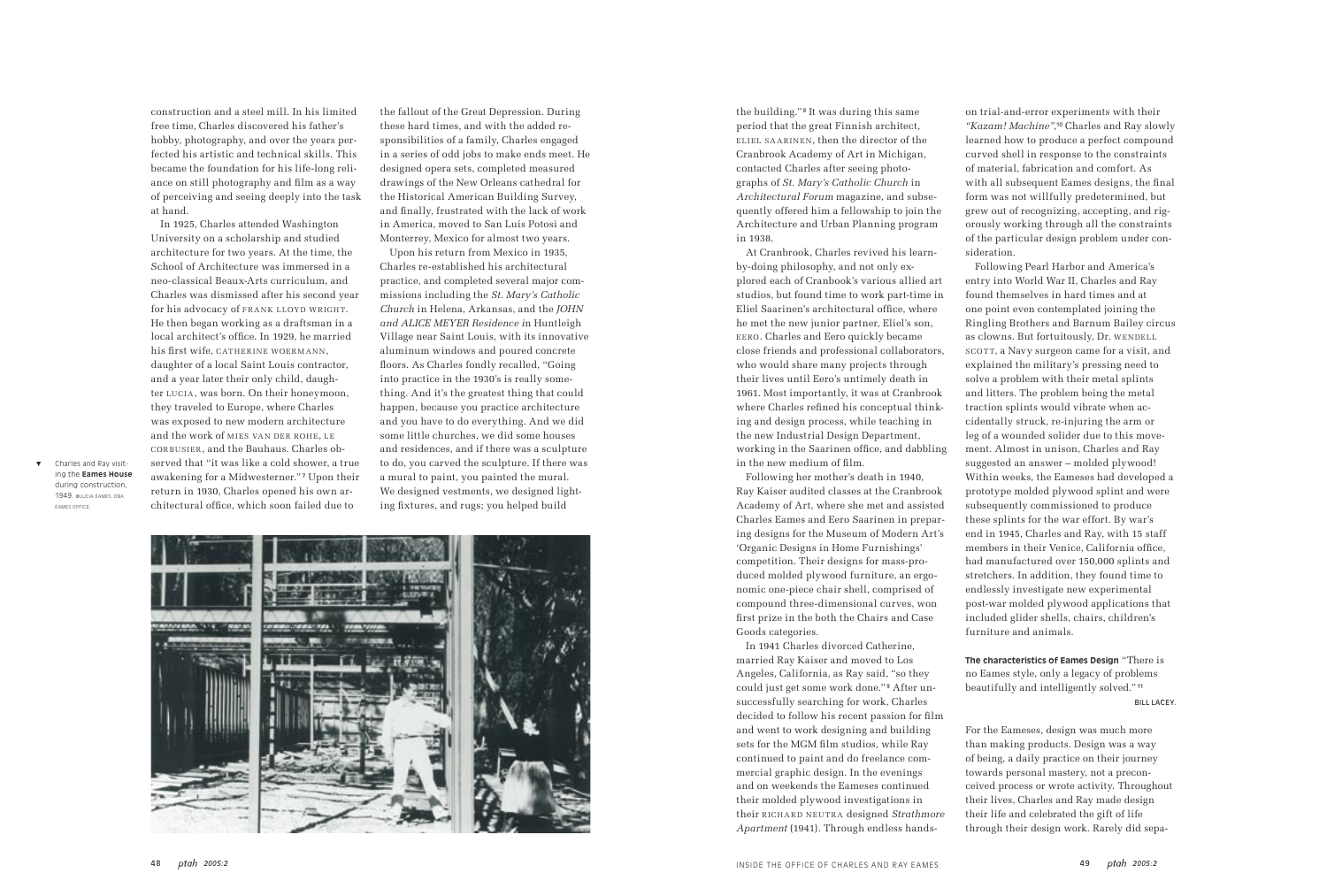the building." <sup>8</sup> It was during this same period that the great Finnish architect, ELIEL SAARINEN, then the director of the Cranbrook Academy of Art in Michigan, contacted Charles after seeing photographs of *St. Mary's Catholic Church* in *Architectural Forum* magazine, and subsequently offered him a fellowship to join the Architecture and Urban Planning program in 1938.

At Cranbrook, Charles revived his learnby-doing philosophy, and not only explored each of Cranbook's various allied art studios, but found time to work part-time in Eliel Saarinen's architectural office, where he met the new junior partner, Eliel's son, E ERO. Charles and Eero quickly became close friends and professional collaborators, who would share many projects through their lives until Eero's untimely death in 1961. Most importantly, it was at Cranbrook where Charles refined his conceptual thinking and design process, while teaching in the new Industrial Design Department, working in the Saarinen office, and dabbling in the new medium of film.

Following her mother's death in 1940, Ray Kaiser audited classes at the Cranbrook Academy of Art, where she met and assisted Charles Eames and Eero Saarinen in preparing designs for the Museum of Modern Art's 'Organic Designs in Home Furnishings' competition. Their designs for mass-produced molded plywood furniture, an ergonomic one-piece chair shell, comprised of compound three-dimensional curves, won first prize in the both the Chairs and Case Goods categories.

In 1941 Charles divorced Catherine, married Ray Kaiser and moved to Los Angeles, California, as Ray said, "so they could just get some work done." <sup>9</sup> After unsuccessfully searching for work, Charles decided to follow his recent passion for film and went to work designing and building sets for the MGM film studios, while Ray continued to paint and do freelance commercial graphic design. In the evenings and on weekends the Eameses continued their molded plywood investigations in their RICHARD NEUTRA designed *Strathmore Apartment* (1941). Through endless handson trial-and-error experiments with their *"Kazam! Machine"*, <sup>10</sup> Charles and Ray slowly learned how to produce a perfect compound curved shell in response to the constraints of material, fabrication and comfort. As with all subsequent Eames designs, the final form was not willfully predetermined, but grew out of recognizing, accepting, and rigorously working through all the constraints of the particular design problem under consideration.

Following Pearl Harbor and America's entry into World War II, Charles and Ray found themselves in hard times and at one point even contemplated joining the Ringling Brothers and Barnum Bailey circus as clowns. But fortuitously, Dr. WENDELL SCOTT, a Navy surgeon came for a visit, and explained the military's pressing need to solve a problem with their metal splints and litters. The problem being the metal traction splints would vibrate when accidentally struck, re-injuring the arm or leg of a wounded solider due to this movement. Almost in unison, Charles and Ray suggested an answer – molded plywood! Within weeks, the Eameses had developed a prototype molded plywood splint and were subsequently commissioned to produce these splints for the war effort. By war's end in 1945, Charles and Ray, with 15 staff members in their Venice, California office, had manufactured over 150,000 splints and stretchers. In addition, they found time to endlessly investigate new experimental post-war molded plywood applications that included glider shells, chairs, children's furniture and animals.

**The characteristics of Eames Design** "There is no Eames style, only a legacy of problems beautifully and intelligently solved." <sup>11</sup> BILL LACEY.

For the Eameses, design was much more than making products. Design was a way of being, a daily practice on their journey towards personal mastery, not a preconceived process or wrote activity. Throughout their lives, Charles and Ray made design their life and celebrated the gift of life through their design work. Rarely did sepa-

construction and a steel mill. In his limited free time, Charles discovered his father's hobby, photography, and over the years perfected his artistic and technical skills. This became the foundation for his life-long reliance on still photography and film as a way of perceiving and seeing deeply into the task at hand.

In 1925, Charles attended Washington University on a scholarship and studied architecture for two years. At the time, the School of Architecture was immersed in a neo-classical Beaux-Arts curriculum, and Charles was dismissed after his second year for his advocacy of FRANK LLOYD WRIGHT. He then began working as a draftsman in a local architect's office. In 1929, he married his first wife, CATHERINE WOERMANN. daughter of a local Saint Louis contractor, and a year later their only child, daughter LUCIA, was born. On their honeymoon, they traveled to Europe, where Charles was exposed to new modern architecture and the work of MIES VAN DER ROHE, LE CORBUSIER, and the Bauhaus. Charles observed that "it was like a cold shower, a true awakening for a Midwesterner." <sup>7</sup> Upon their return in 1930, Charles opened his own architectural office, which soon failed due to

the fallout of the Great Depression. During these hard times, and with the added responsibilities of a family, Charles engaged in a series of odd jobs to make ends meet. He designed opera sets, completed measured drawings of the New Orleans cathedral for the Historical American Building Survey, and finally, frustrated with the lack of work in America, moved to San Luis Potosi and Monterrey, Mexico for almost two years.

Upon his return from Mexico in 1935, Charles re-established his architectural practice, and completed several major commissions including the *St. Mary's Catholic Church* in Helena, Arkansas, and the *JOHN and ALICE MEYER Residence i*n Huntleigh Village near Saint Louis, with its innovative aluminum windows and poured concrete floors. As Charles fondly recalled, "Going into practice in the 1930's is really something. And it's the greatest thing that could happen, because you practice architecture and you have to do everything. And we did some little churches, we did some houses and residences, and if there was a sculpture to do, you carved the sculpture. If there was a mural to paint, you painted the mural. We designed vestments, we designed lighting fixtures, and rugs; you helped build



Charles and Ray visiting the **Eames House** during construction, 1949. ©LUCIA EAMES, DBA EAMES OFFICE.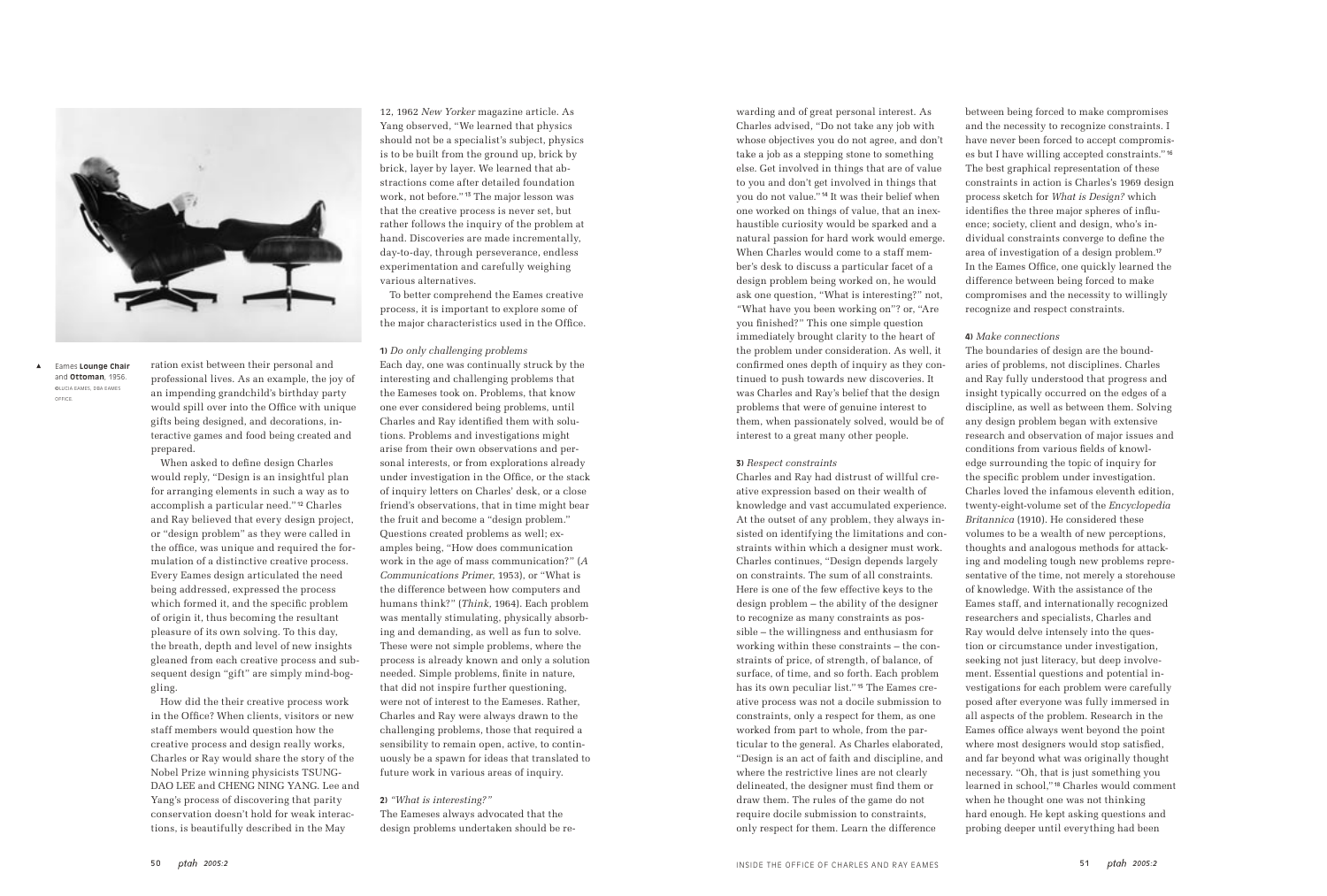ration exist between their personal and professional lives. As an example, the joy of an impending grandchild's birthday party would spill over into the Office with unique gifts being designed, and decorations, interactive games and food being created and prepared.

When asked to define design Charles would reply, "Design is an insightful plan for arranging elements in such a way as to accomplish a particular need." 12 Charles and Ray believed that every design project, or "design problem" as they were called in the office, was unique and required the formulation of a distinctive creative process. Every Eames design articulated the need being addressed, expressed the process which formed it, and the specific problem of origin it, thus becoming the resultant pleasure of its own solving. To this day, the breath, depth and level of new insights gleaned from each creative process and subsequent design "gift" are simply mind-boggling.

How did the their creative process work in the Office? When clients, visitors or new staff members would question how the creative process and design really works, Charles or Ray would share the story of the Nobel Prize winning physicists TSUNG-DAO LEE and CHENG NING YANG. Lee and Yang's process of discovering that parity conservation doesn't hold for weak interactions, is beautifully described in the May

12, 1962 *New Yorker* magazine article. As Yang observed, "We learned that physics should not be a specialist's subject, physics is to be built from the ground up, brick by brick, layer by layer. We learned that abstractions come after detailed foundation work, not before." <sup>13</sup> The major lesson was that the creative process is never set, but rather follows the inquiry of the problem at hand. Discoveries are made incrementally, day-to-day, through perseverance, endless experimentation and carefully weighing various alternatives.

To better comprehend the Eames creative process, it is important to explore some of the major characteristics used in the Office.

## **1)** *Do only challenging problems*

Each day, one was continually struck by the interesting and challenging problems that the Eameses took on. Problems, that know one ever considered being problems, until Charles and Ray identified them with solutions. Problems and investigations might arise from their own observations and personal interests, or from explorations already under investigation in the Office, or the stack of inquiry letters on Charles' desk, or a close friend's observations, that in time might bear the fruit and become a "design problem." Questions created problems as well; examples being, "How does communication work in the age of mass communication?" (*A Communications Primer*, 1953), or "What is the difference between how computers and humans think?" (*Think,* 1964). Each problem was mentally stimulating, physically absorbing and demanding, as well as fun to solve. These were not simple problems, where the process is already known and only a solution needed. Simple problems, finite in nature, that did not inspire further questioning, were not of interest to the Eameses. Rather, Charles and Ray were always drawn to the challenging problems, those that required a sensibility to remain open, active, to continuously be a spawn for ideas that translated to future work in various areas of inquiry.

# **2)** *"What is interesting?"*

The Eameses always advocated that the design problems undertaken should be rewarding and of great personal interest. As Charles advised, "Do not take any job with whose objectives you do not agree, and don't take a job as a stepping stone to something else. Get involved in things that are of value to you and don't get involved in things that you do not value." 14 It was their belief when one worked on things of value, that an inexhaustible curiosity would be sparked and a natural passion for hard work would emerge. When Charles would come to a staff member's desk to discuss a particular facet of a design problem being worked on, he would ask one question, "What is interesting?" not, *"*What have you been working on"? or, "Are you finished?" This one simple question immediately brought clarity to the heart of the problem under consideration. As well, it confirmed ones depth of inquiry as they continued to push towards new discoveries. It was Charles and Ray's belief that the design problems that were of genuine interest to them, when passionately solved, would be of interest to a great many other people.

### **3)** *Respect constraints*

Charles and Ray had distrust of willful creative expression based on their wealth of knowledge and vast accumulated experience. At the outset of any problem, they always insisted on identifying the limitations and constraints within which a designer must work. Charles continues, "Design depends largely on constraints. The sum of all constraints. Here is one of the few effective keys to the design problem – the ability of the designer to recognize as many constraints as possible – the willingness and enthusiasm for working within these constraints – the constraints of price, of strength, of balance, of surface, of time, and so forth. Each problem has its own peculiar list." <sup>15</sup> The Eames creative process was not a docile submission to constraints, only a respect for them, as one worked from part to whole, from the particular to the general. As Charles elaborated, "Design is an act of faith and discipline, and where the restrictive lines are not clearly delineated, the designer must find them or draw them. The rules of the game do not require docile submission to constraints, only respect for them. Learn the difference

between being forced to make compromises and the necessity to recognize constraints. I have never been forced to accept compromises but I have willing accepted constraints." <sup>16</sup> The best graphical representation of these constraints in action is Charles's 1969 design process sketch for *What is Design?* which identifies the three major spheres of influence; society, client and design, who's individual constraints converge to define the area of investigation of a design problem.<sup>17</sup> In the Eames Office, one quickly learned the difference between being forced to make compromises and the necessity to willingly recognize and respect constraints.

**4)** *Make connections* The boundaries of design are the boundaries of problems, not disciplines. Charles and Ray fully understood that progress and insight typically occurred on the edges of a discipline, as well as between them. Solving any design problem began with extensive research and observation of major issues and conditions from various fields of knowledge surrounding the topic of inquiry for the specific problem under investigation. Charles loved the infamous eleventh edition, twenty-eight-volume set of the *Encyclopedia Britannica* (1910). He considered these volumes to be a wealth of new perceptions, thoughts and analogous methods for attacking and modeling tough new problems representative of the time, not merely a storehouse of knowledge. With the assistance of the Eames staff, and internationally recognized researchers and specialists, Charles and Ray would delve intensely into the question or circumstance under investigation, seeking not just literacy, but deep involvement. Essential questions and potential investigations for each problem were carefully posed after everyone was fully immersed in all aspects of the problem. Research in the Eames office always went beyond the point where most designers would stop satisfied, and far beyond what was originally thought necessary. "Oh, that is just something you learned in school," <sup>18</sup> Charles would comment when he thought one was not thinking hard enough. He kept asking questions and probing deeper until everything had been



Eames **Lounge Chair** and **Ottoman**, 1956. ©LUCIA EAMES, DBA EAMES OFFICE.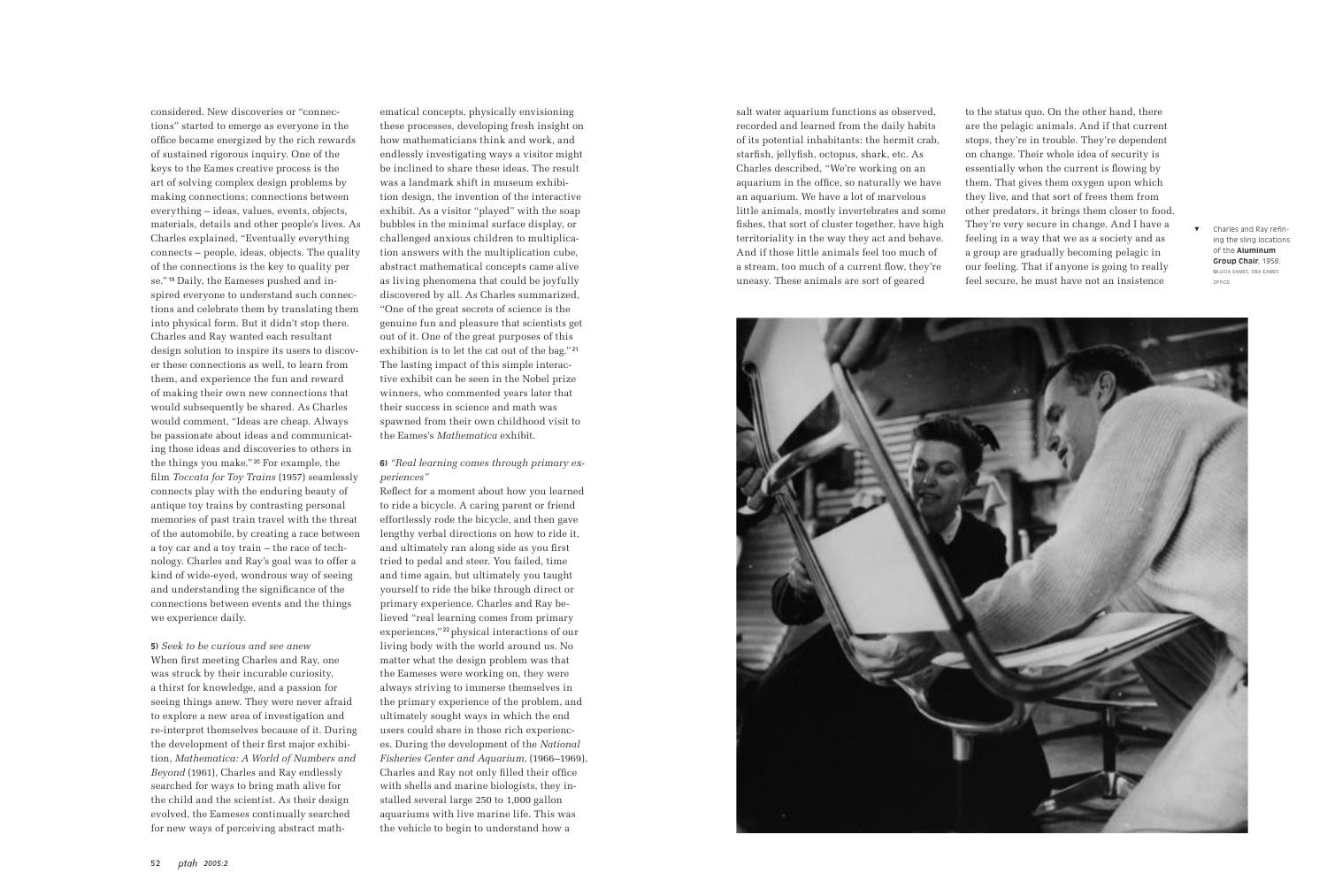considered. New discoveries or "connections" started to emerge as everyone in the office became energized by the rich rewards of sustained rigorous inquiry. One of the keys to the Eames creative process is the art of solving complex design problems by making connections; connections between everything – ideas, values, events, objects, materials, details and other people's lives. As Charles explained, "Eventually everything connects – people, ideas, objects. The quality of the connections is the key to quality per se." 19 Daily, the Eameses pushed and inspired everyone to understand such connections and celebrate them by translating them into physical form. But it didn't stop there. Charles and Ray wanted each resultant design solution to inspire its users to discover these connections as well, to learn from them, and experience the fun and reward of making their own new connections that would subsequently be shared. As Charles would comment, "Ideas are cheap. Always be passionate about ideas and communicating those ideas and discoveries to others in the things you make." <sup>20</sup> For example, the film *Toccata for Toy Trains* (1957) seamlessly connects play with the enduring beauty of antique toy trains by contrasting personal memories of past train travel with the threat of the automobile, by creating a race between a toy car and a toy train – the race of technology. Charles and Ray's goal was to offer a kind of wide-eyed, wondrous way of seeing and understanding the significance of the connections between events and the things we experience daily.

**5)** *Seek to be curious and see anew* When first meeting Charles and Ray, one was struck by their incurable curiosity, a thirst for knowledge, and a passion for seeing things anew. They were never afraid to explore a new area of investigation and re-interpret themselves because of it. During the development of their first major exhibition, *Mathematica: A World of Numbers and Beyond* (1961), Charles and Ray endlessly searched for ways to bring math alive for the child and the scientist. As their design evolved, the Eameses continually searched for new ways of perceiving abstract math-

ematical concepts, physically envisioning these processes, developing fresh insight on how mathematicians think and work, and endlessly investigating ways a visitor might be inclined to share these ideas. The result was a landmark shift in museum exhibition design, the invention of the interactive exhibit. As a visitor "played" with the soap bubbles in the minimal surface display, or challenged anxious children to multiplication answers with the multiplication cube, abstract mathematical concepts came alive as living phenomena that could be joyfully discovered by all. As Charles summarized, "One of the great secrets of science is the genuine fun and pleasure that scientists get out of it. One of the great purposes of this exhibition is to let the cat out of the bag." <sup>21</sup> The lasting impact of this simple interactive exhibit can be seen in the Nobel prize winners, who commented years later that their success in science and math was spawned from their own childhood visit to the Eames's *Mathematica* exhibit.

## **6)** *"Real learning comes through primary experiences"*

Reflect for a moment about how you learned to ride a bicycle. A caring parent or friend effortlessly rode the bicycle, and then gave lengthy verbal directions on how to ride it, and ultimately ran along side as you first tried to pedal and steer. You failed, time and time again, but ultimately you taught yourself to ride the bike through direct or primary experience. Charles and Ray believed "real learning comes from primary experiences," <sup>22</sup> physical interactions of our living body with the world around us. No matter what the design problem was that the Eameses were working on, they were always striving to immerse themselves in the primary experience of the problem, and ultimately sought ways in which the end users could share in those rich experiences. During the development of the *National Fisheries Center and Aquarium*, (1966–1969), Charles and Ray not only filled their office with shells and marine biologists, they installed several large 250 to 1,000 gallon aquariums with live marine life. This was the vehicle to begin to understand how a

salt water aquarium functions as observed, recorded and learned from the daily habits of its potential inhabitants: the hermit crab, starfish, jellyfish, octopus, shark, etc. As Charles described, "We're working on an aquarium in the office, so naturally we have an aquarium. We have a lot of marvelous little animals, mostly invertebrates and some fishes, that sort of cluster together, have high territoriality in the way they act and behave. And if those little animals feel too much of a stream, too much of a current flow, they're uneasy. These animals are sort of geared

to the status quo. On the other hand, there are the pelagic animals. And if that current stops, they're in trouble. They're dependent on change. Their whole idea of security is essentially when the current is flowing by them. That gives them oxygen upon which they live, and that sort of frees them from other predators, it brings them closer to food. They're very secure in change. And I have a feeling in a way that we as a society and as a group are gradually becoming pelagic in our feeling. That if anyone is going to really feel secure, he must have not an insistence



Charles and Ray refining the sling locations of the **Aluminum Group Chair**, 1958. ©LUCIA EAMES, DBA EAMES OFFICE.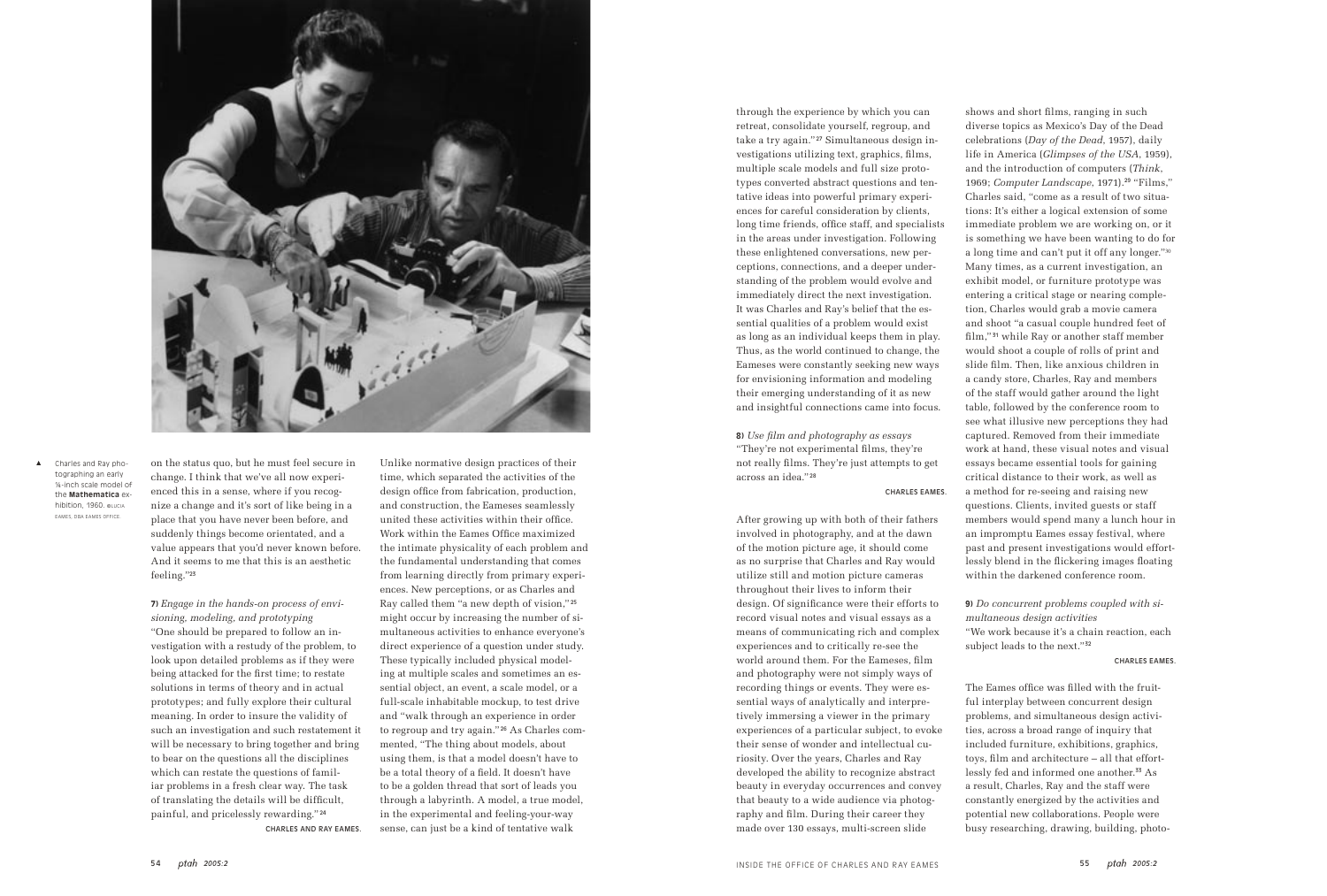on the status quo, but he must feel secure in change. I think that we've all now experienced this in a sense, where if you recognize a change and it's sort of like being in a place that you have never been before, and suddenly things become orientated, and a value appears that you'd never known before. And it seems to me that this is an aesthetic feeling."<sup>23</sup>

**7)** *Engage in the hands-on process of envisioning, modeling, and prototyping* "One should be prepared to follow an investigation with a restudy of the problem, to look upon detailed problems as if they were being attacked for the first time; to restate solutions in terms of theory and in actual prototypes; and fully explore their cultural meaning. In order to insure the validity of such an investigation and such restatement it will be necessary to bring together and bring to bear on the questions all the disciplines which can restate the questions of familiar problems in a fresh clear way. The task of translating the details will be difficult, painful, and pricelessly rewarding." <sup>24</sup> CHARLES AND RAY EAMES.

Unlike normative design practices of their time, which separated the activities of the design office from fabrication, production, and construction, the Eameses seamlessly united these activities within their office. Work within the Eames Office maximized the intimate physicality of each problem and the fundamental understanding that comes from learning directly from primary experiences. New perceptions, or as Charles and Ray called them "a new depth of vision," <sup>25</sup> might occur by increasing the number of simultaneous activities to enhance everyone's direct experience of a question under study. These typically included physical modeling at multiple scales and sometimes an essential object, an event, a scale model, or a full-scale inhabitable mockup, to test drive and "walk through an experience in order to regroup and try again." 26 As Charles commented, "The thing about models, about using them, is that a model doesn't have to be a total theory of a field. It doesn't have to be a golden thread that sort of leads you through a labyrinth. A model, a true model, in the experimental and feeling-your-way sense, can just be a kind of tentative walk

through the experience by which you can retreat, consolidate yourself, regroup, and take a try again." <sup>27</sup> Simultaneous design investigations utilizing text, graphics, films, multiple scale models and full size prototypes converted abstract questions and tentative ideas into powerful primary experiences for careful consideration by clients, long time friends, office staff, and specialists in the areas under investigation. Following these enlightened conversations, new perceptions, connections, and a deeper understanding of the problem would evolve and immediately direct the next investigation. It was Charles and Ray's belief that the essential qualities of a problem would exist as long as an individual keeps them in play. Thus, as the world continued to change, the Eameses were constantly seeking new ways for envisioning information and modeling their emerging understanding of it as new and insightful connections came into focus.

> **9)** *Do concurrent problems coupled with simultaneous design activities* "We work because it's a chain reaction, each subject leads to the next."<sup>32</sup>

**8)** *Use film and photography as essays* "They're not experimental films, they're not really films. They're just attempts to get across an idea." <sup>28</sup>

### CHARLES EAMES.

After growing up with both of their fathers involved in photography, and at the dawn of the motion picture age, it should come as no surprise that Charles and Ray would utilize still and motion picture cameras throughout their lives to inform their design. Of significance were their efforts to record visual notes and visual essays as a means of communicating rich and complex experiences and to critically re-see the world around them. For the Eameses, film and photography were not simply ways of recording things or events. They were essential ways of analytically and interpretively immersing a viewer in the primary experiences of a particular subject, to evoke their sense of wonder and intellectual curiosity. Over the years, Charles and Ray developed the ability to recognize abstract beauty in everyday occurrences and convey that beauty to a wide audience via photography and film. During their career they made over 130 essays, multi-screen slide

shows and short films, ranging in such diverse topics as Mexico's Day of the Dead celebrations (*Day of the Dead*, 1957), daily life in America (*Glimpses of the USA*, 1959), and the introduction of computers (*Think*, 1969; *Computer Landscape*, 1971).29 "Films," Charles said, "come as a result of two situations: It's either a logical extension of some immediate problem we are working on, or it is something we have been wanting to do for a long time and can't put it off any longer."<sup>30</sup> Many times, as a current investigation, an exhibit model, or furniture prototype was entering a critical stage or nearing completion, Charles would grab a movie camera and shoot "a casual couple hundred feet of film," 31 while Ray or another staff member would shoot a couple of rolls of print and slide film. Then, like anxious children in a candy store, Charles, Ray and members of the staff would gather around the light table, followed by the conference room to see what illusive new perceptions they had captured. Removed from their immediate work at hand, these visual notes and visual essays became essential tools for gaining critical distance to their work, as well as a method for re-seeing and raising new questions. Clients, invited guests or staff members would spend many a lunch hour in an impromptu Eames essay festival, where past and present investigations would effortlessly blend in the flickering images floating within the darkened conference room.

CHARLES EAMES.

The Eames office was filled with the fruitful interplay between concurrent design problems, and simultaneous design activities, across a broad range of inquiry that included furniture, exhibitions, graphics, toys, film and architecture – all that effortlessly fed and informed one another.33 As a result, Charles, Ray and the staff were constantly energized by the activities and potential new collaborations. People were busy researching, drawing, building, photo-



Charles and Ray photographing an early ¼-inch scale model of the **Mathematica** exhibition, 1960. ©LUCIA EAMES, DBA EAMES OFFICE.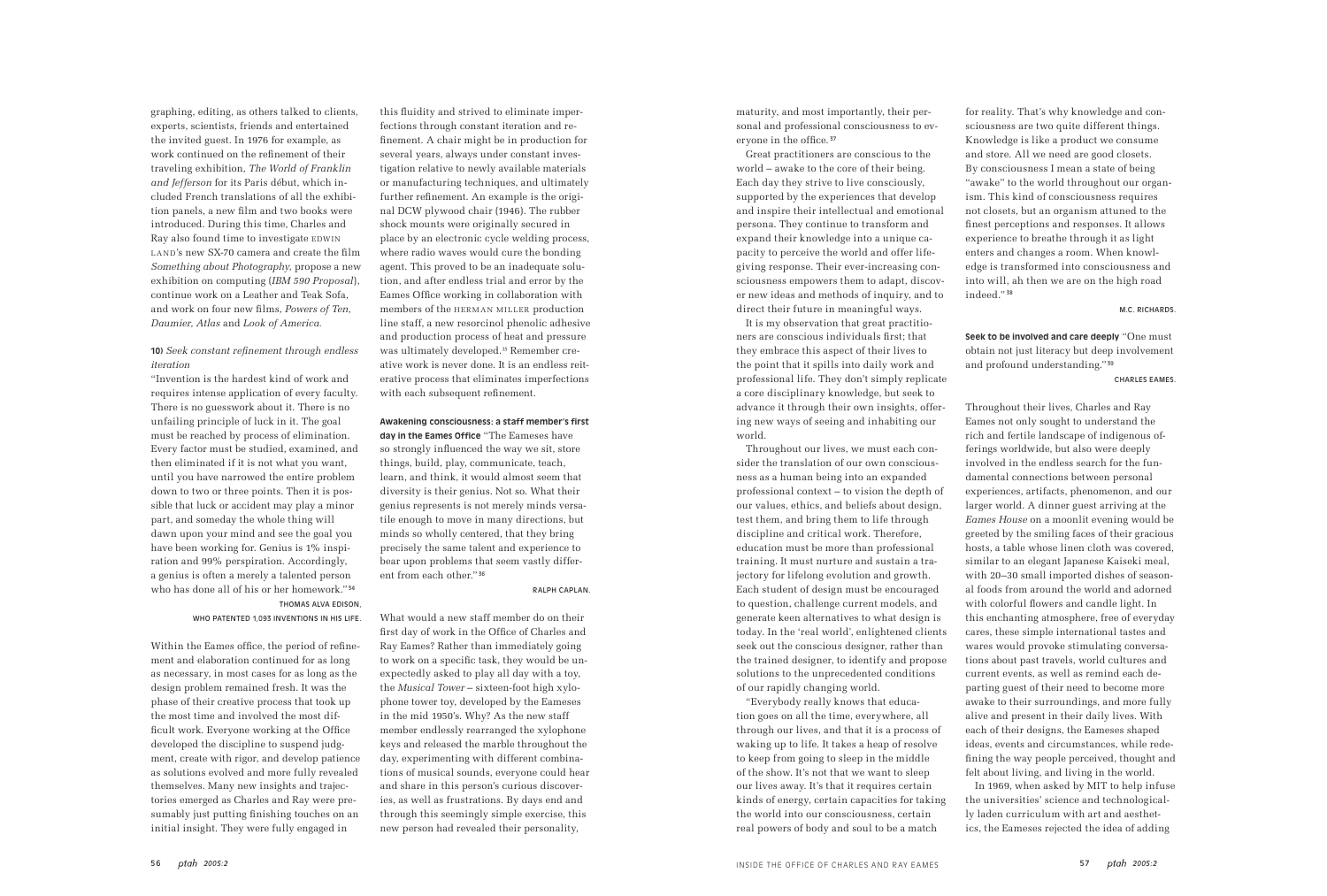graphing, editing, as others talked to clients, experts, scientists, friends and entertained the invited guest. In 1976 for example, as work continued on the refinement of their traveling exhibition, *The World of Franklin and Jefferson* for its Paris début, which included French translations of all the exhibition panels, a new film and two books were introduced. During this time, Charles and Ray also found time to investigate EDWIN LAND's new SX-70 camera and create the film *Something about Photography*, propose a new exhibition on computing (*IBM 590 Proposal*), continue work on a Leather and Teak Sofa, and work on four new films, *Powers of Ten*, *Daumier, Atlas* and *Look of America.*

## **10)** *Seek constant refinement through endless iteration*

"Invention is the hardest kind of work and requires intense application of every faculty. There is no guesswork about it. There is no unfailing principle of luck in it. The goal must be reached by process of elimination. Every factor must be studied, examined, and then eliminated if it is not what you want, until you have narrowed the entire problem down to two or three points. Then it is possible that luck or accident may play a minor part, and someday the whole thing will dawn upon your mind and see the goal you have been working for. Genius is 1% inspiration and 99% perspiration. Accordingly, a genius is often a merely a talented person who has done all of his or her homework." <sup>34</sup> THOMAS ALVA EDISON,

### WHO PATENTED 1,093 INVENTIONS IN HIS LIFE.

Within the Eames office, the period of refinement and elaboration continued for as long as necessary, in most cases for as long as the design problem remained fresh. It was the phase of their creative process that took up the most time and involved the most difficult work. Everyone working at the Office developed the discipline to suspend judgment, create with rigor, and develop patience as solutions evolved and more fully revealed themselves. Many new insights and trajectories emerged as Charles and Ray were presumably just putting finishing touches on an initial insight. They were fully engaged in

this fluidity and strived to eliminate imperfections through constant iteration and refinement. A chair might be in production for several years, always under constant investigation relative to newly available materials or manufacturing techniques, and ultimately further refinement. An example is the original DCW plywood chair (1946). The rubber shock mounts were originally secured in place by an electronic cycle welding process, where radio waves would cure the bonding agent. This proved to be an inadequate solution, and after endless trial and error by the Eames Office working in collaboration with members of the HERMAN MILLER production line staff, a new resorcinol phenolic adhesive and production process of heat and pressure was ultimately developed.35 Remember creative work is never done. It is an endless reiterative process that eliminates imperfections with each subsequent refinement.

## **Awakening consciousness: a staff member's first**

**day in the Eames Office** "The Eameses have so strongly influenced the way we sit, store things, build, play, communicate, teach, learn, and think, it would almost seem that diversity is their genius. Not so. What their genius represents is not merely minds versatile enough to move in many directions, but minds so wholly centered, that they bring precisely the same talent and experience to bear upon problems that seem vastly different from each other." <sup>36</sup>

### RALPH CAPLAN.

What would a new staff member do on their first day of work in the Office of Charles and Ray Eames? Rather than immediately going to work on a specific task, they would be unexpectedly asked to play all day with a toy, the *Musical Tower* – sixteen-foot high xylophone tower toy, developed by the Eameses in the mid 1950's. Why? As the new staff member endlessly rearranged the xylophone keys and released the marble throughout the day, experimenting with different combinations of musical sounds, everyone could hear and share in this person's curious discoveries, as well as frustrations. By days end and through this seemingly simple exercise, this new person had revealed their personality,

maturity, and most importantly, their personal and professional consciousness to everyone in the office. <sup>37</sup>

Great practitioners are conscious to the world – awake to the core of their being. Each day they strive to live consciously, supported by the experiences that develop and inspire their intellectual and emotional persona. They continue to transform and expand their knowledge into a unique capacity to perceive the world and offer lifegiving response. Their ever-increasing consciousness empowers them to adapt, discover new ideas and methods of inquiry, and to direct their future in meaningful ways.

It is my observation that great practitioners are conscious individuals first; that they embrace this aspect of their lives to the point that it spills into daily work and professional life. They don't simply replicate a core disciplinary knowledge, but seek to advance it through their own insights, offering new ways of seeing and inhabiting our world.

Throughout our lives, we must each consider the translation of our own consciousness as a human being into an expanded professional context – to vision the depth of our values, ethics, and beliefs about design, test them, and bring them to life through discipline and critical work. Therefore, education must be more than professional training. It must nurture and sustain a trajectory for lifelong evolution and growth. Each student of design must be encouraged to question, challenge current models, and generate keen alternatives to what design is today. In the 'real world', enlightened clients seek out the conscious designer, rather than the trained designer, to identify and propose solutions to the unprecedented conditions of our rapidly changing world.

"Everybody really knows that education goes on all the time, everywhere, all through our lives, and that it is a process of waking up to life. It takes a heap of resolve to keep from going to sleep in the middle of the show. It's not that we want to sleep our lives away. It's that it requires certain kinds of energy, certain capacities for taking the world into our consciousness, certain real powers of body and soul to be a match

for reality. That's why knowledge and consciousness are two quite different things. Knowledge is like a product we consume and store. All we need are good closets. By consciousness I mean a state of being "awake" to the world throughout our organism. This kind of consciousness requires not closets, but an organism attuned to the finest perceptions and responses. It allows experience to breathe through it as light enters and changes a room. When knowledge is transformed into consciousness and into will, ah then we are on the high road

indeed." <sup>38</sup>

M.C. RICHARDS.

**Seek to be involved and care deeply** "One must obtain not just literacy but deep involvement

and profound understanding." <sup>39</sup>

CHARLES EAMES.

Throughout their lives, Charles and Ray Eames not only sought to understand the rich and fertile landscape of indigenous offerings worldwide, but also were deeply involved in the endless search for the fundamental connections between personal experiences, artifacts, phenomenon, and our larger world. A dinner guest arriving at the *Eames House* on a moonlit evening would be greeted by the smiling faces of their gracious hosts, a table whose linen cloth was covered, similar to an elegant Japanese Kaiseki meal, with 20–30 small imported dishes of seasonal foods from around the world and adorned with colorful flowers and candle light. In this enchanting atmosphere, free of everyday cares, these simple international tastes and wares would provoke stimulating conversations about past travels, world cultures and current events, as well as remind each departing guest of their need to become more awake to their surroundings, and more fully alive and present in their daily lives. With each of their designs, the Eameses shaped ideas, events and circumstances, while redefining the way people perceived, thought and felt about living, and living in the world. the universities' science and technologically laden curriculum with art and aesthetics, the Eameses rejected the idea of adding

In 1969, when asked by MIT to help infuse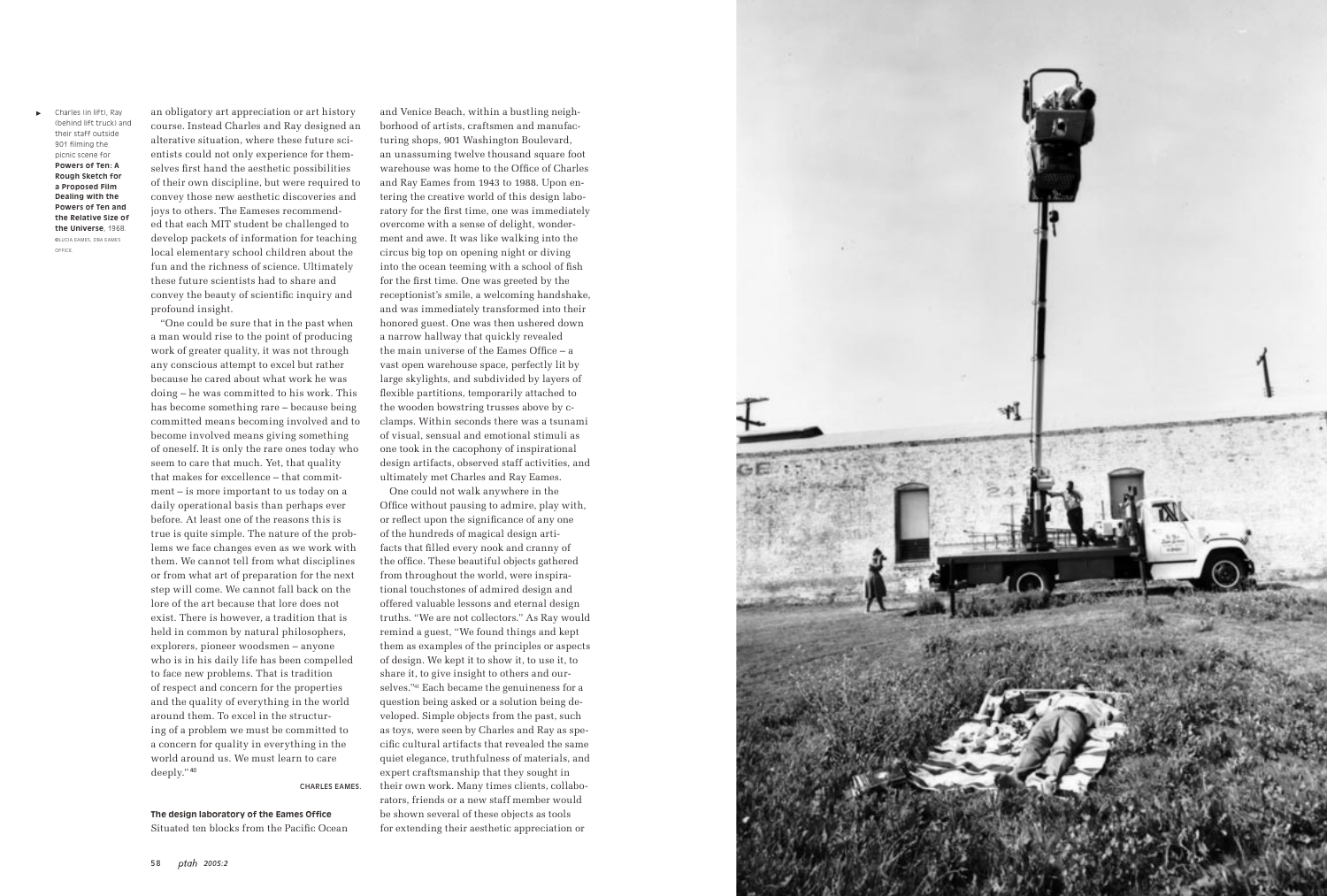an obligatory art appreciation or art history course. Instead Charles and Ray designed an alterative situation, where these future scientists could not only experience for themselves first hand the aesthetic possibilities of their own discipline, but were required to convey those new aesthetic discoveries and joys to others. The Eameses recommended that each MIT student be challenged to develop packets of information for teaching local elementary school children about the fun and the richness of science. Ultimately these future scientists had to share and convey the beauty of scientific inquiry and profound insight.

"One could be sure that in the past when a man would rise to the point of producing work of greater quality, it was not through any conscious attempt to excel but rather because he cared about what work he was doing – he was committed to his work. This has become something rare – because being committed means becoming involved and to become involved means giving something of oneself. It is only the rare ones today who seem to care that much. Yet, that quality that makes for excellence – that commitment – is more important to us today on a daily operational basis than perhaps ever before. At least one of the reasons this is true is quite simple. The nature of the problems we face changes even as we work with them. We cannot tell from what disciplines or from what art of preparation for the next step will come. We cannot fall back on the lore of the art because that lore does not exist. There is however, a tradition that is held in common by natural philosophers, explorers, pioneer woodsmen – anyone who is in his daily life has been compelled to face new problems. That is tradition of respect and concern for the properties and the quality of everything in the world around them. To excel in the structuring of a problem we must be committed to a concern for quality in everything in the world around us. We must learn to care deeply." <sup>40</sup>

CHARLES EAMES.

#### **The design laboratory of the Eames Office**

Situated ten blocks from the Pacific Ocean

and Venice Beach, within a bustling neighborhood of artists, craftsmen and manufacturing shops, 901 Washington Boulevard, an unassuming twelve thousand square foot warehouse was home to the Office of Charles and Ray Eames from 1943 to 1988. Upon entering the creative world of this design laboratory for the first time, one was immediately overcome with a sense of delight, wonderment and awe. It was like walking into the circus big top on opening night or diving into the ocean teeming with a school of fish for the first time. One was greeted by the receptionist's smile, a welcoming handshake, and was immediately transformed into their honored guest. One was then ushered down a narrow hallway that quickly revealed the main universe of the Eames Office – a vast open warehouse space, perfectly lit by large skylights, and subdivided by layers of flexible partitions, temporarily attached to the wooden bowstring trusses above by cclamps. Within seconds there was a tsunami of visual, sensual and emotional stimuli as one took in the cacophony of inspirational design artifacts, observed staff activities, and ultimately met Charles and Ray Eames.

One could not walk anywhere in the Office without pausing to admire, play with, or reflect upon the significance of any one of the hundreds of magical design artifacts that filled every nook and cranny of the office. These beautiful objects gathered from throughout the world, were inspirational touchstones of admired design and offered valuable lessons and eternal design truths. "We are not collectors." As Ray would remind a guest, "We found things and kept them as examples of the principles or aspects of design. We kept it to show it, to use it, to share it, to give insight to others and ourselves."<sup>41</sup> Each became the genuineness for a question being asked or a solution being developed. Simple objects from the past, such as toys, were seen by Charles and Ray as specific cultural artifacts that revealed the same quiet elegance, truthfulness of materials, and expert craftsmanship that they sought in their own work. Many times clients, collaborators, friends or a new staff member would be shown several of these objects as tools for extending their aesthetic appreciation or



Charles (in lift), Ray (behind lift truck) and their staff outside 901 filming the picnic scene for **Powers of Ten: A Rough Sketch for a Proposed Film Dealing with the Powers of Ten and the Relative Size of the Universe**, 1968. ©LUCIA EAMES, DBA EAMES OFFICE.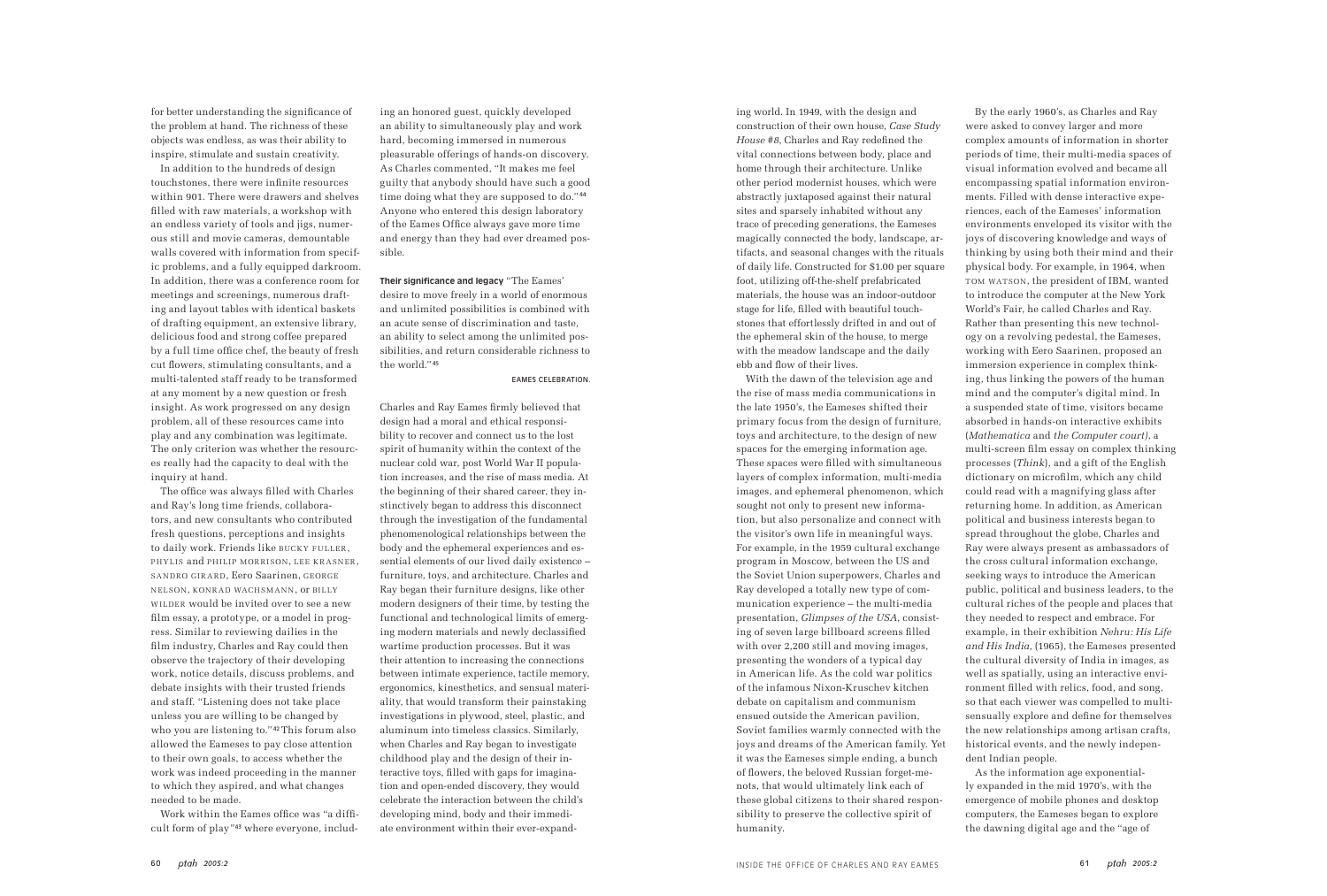for better understanding the significance of the problem at hand. The richness of these objects was endless, as was their ability to inspire, stimulate and sustain creativity.

In addition to the hundreds of design touchstones, there were infinite resources within 901. There were drawers and shelves filled with raw materials, a workshop with an endless variety of tools and jigs, numerous still and movie cameras, demountable walls covered with information from specific problems, and a fully equipped darkroom. In addition, there was a conference room for meetings and screenings, numerous drafting and layout tables with identical baskets of drafting equipment, an extensive library, delicious food and strong coffee prepared by a full time office chef, the beauty of fresh cut flowers, stimulating consultants, and a multi-talented staff ready to be transformed at any moment by a new question or fresh insight. As work progressed on any design problem, all of these resources came into play and any combination was legitimate. The only criterion was whether the resources really had the capacity to deal with the inquiry at hand.

The office was always filled with Charles and Ray's long time friends, collaborators, and new consultants who contributed fresh questions, perceptions and insights to daily work. Friends like BUCKY FULLER, PHYLIS and PHILIP MORRISON, LEE KRASNER SANDRO GIRARD, Eero Saarinen, GEORGE NELSON, KONRAD WACHSMANN, OF BILLY WILDER would be invited over to see a new film essay, a prototype, or a model in progress. Similar to reviewing dailies in the film industry, Charles and Ray could then observe the trajectory of their developing work, notice details, discuss problems, and debate insights with their trusted friends and staff. "Listening does not take place unless you are willing to be changed by who you are listening to."<sup>42</sup>This forum also allowed the Eameses to pay close attention to their own goals, to access whether the work was indeed proceeding in the manner to which they aspired, and what changes needed to be made.

Work within the Eames office was "a difficult form of play*"* <sup>43</sup> where everyone, includ-

ing an honored guest, quickly developed an ability to simultaneously play and work hard, becoming immersed in numerous pleasurable offerings of hands-on discovery. As Charles commented, "It makes me feel guilty that anybody should have such a good time doing what they are supposed to do."<sup>44</sup> Anyone who entered this design laboratory of the Eames Office always gave more time and energy than they had ever dreamed possible.

**Their significance and legacy** "The Eames' desire to move freely in a world of enormous and unlimited possibilities is combined with an acute sense of discrimination and taste, an ability to select among the unlimited possibilities, and return considerable richness to the world." <sup>45</sup>

### EAMES CELEBRATION.

Charles and Ray Eames firmly believed that design had a moral and ethical responsibility to recover and connect us to the lost spirit of humanity within the context of the nuclear cold war, post World War II population increases, and the rise of mass media. At the beginning of their shared career, they instinctively began to address this disconnect through the investigation of the fundamental phenomenological relationships between the body and the ephemeral experiences and essential elements of our lived daily existence – furniture, toys, and architecture. Charles and Ray began their furniture designs, like other modern designers of their time, by testing the functional and technological limits of emerging modern materials and newly declassified wartime production processes. But it was their attention to increasing the connections between intimate experience, tactile memory, ergonomics, kinesthetics, and sensual materiality, that would transform their painstaking investigations in plywood, steel, plastic, and aluminum into timeless classics. Similarly, when Charles and Ray began to investigate childhood play and the design of their interactive toys, filled with gaps for imagination and open-ended discovery, they would celebrate the interaction between the child's developing mind, body and their immediate environment within their ever-expanding world. In 1949, with the design and construction of their own house, *Case Study House #8*, Charles and Ray redefined the vital connections between body, place and home through their architecture. Unlike other period modernist houses, which were abstractly juxtaposed against their natural sites and sparsely inhabited without any trace of preceding generations, the Eameses magically connected the body, landscape, artifacts, and seasonal changes with the rituals of daily life. Constructed for \$1.00 per square foot, utilizing off-the-shelf prefabricated materials, the house was an indoor-outdoor stage for life, filled with beautiful touchstones that effortlessly drifted in and out of the ephemeral skin of the house, to merge with the meadow landscape and the daily ebb and flow of their lives.

With the dawn of the television age and the rise of mass media communications in the late 1950's, the Eameses shifted their primary focus from the design of furniture, toys and architecture, to the design of new spaces for the emerging information age. These spaces were filled with simultaneous layers of complex information, multi-media images, and ephemeral phenomenon, which sought not only to present new information, but also personalize and connect with the visitor's own life in meaningful ways. For example, in the 1959 cultural exchange program in Moscow, between the US and the Soviet Union superpowers, Charles and Ray developed a totally new type of communication experience – the multi-media presentation, *Glimpses of the USA*, consisting of seven large billboard screens filled with over 2,200 still and moving images, presenting the wonders of a typical day in American life. As the cold war politics of the infamous Nixon-Kruschev kitchen debate on capitalism and communism ensued outside the American pavilion, Soviet families warmly connected with the joys and dreams of the American family. Yet it was the Eameses simple ending, a bunch of flowers, the beloved Russian forget-menots, that would ultimately link each of these global citizens to their shared responsibility to preserve the collective spirit of humanity.

By the early 1960's, as Charles and Ray were asked to convey larger and more complex amounts of information in shorter periods of time, their multi-media spaces of visual information evolved and became all encompassing spatial information environments. Filled with dense interactive experiences, each of the Eameses' information environments enveloped its visitor with the joys of discovering knowledge and ways of thinking by using both their mind and their physical body. For example, in 1964, when TOM WATSON, the president of IBM, wanted to introduce the computer at the New York World's Fair, he called Charles and Ray. Rather than presenting this new technology on a revolving pedestal, the Eameses, working with Eero Saarinen, proposed an immersion experience in complex thinking, thus linking the powers of the human mind and the computer's digital mind. In a suspended state of time, visitors became absorbed in hands-on interactive exhibits (*Mathematica* and *the Computer court)*, a multi-screen film essay on complex thinking processes (*Think*), and a gift of the English dictionary on microfilm, which any child could read with a magnifying glass after returning home. In addition, as American political and business interests began to spread throughout the globe, Charles and Ray were always present as ambassadors of the cross cultural information exchange, seeking ways to introduce the American public, political and business leaders, to the cultural riches of the people and places that they needed to respect and embrace. For example, in their exhibition *Nehru: His Life and His India*, (1965), the Eameses presented the cultural diversity of India in images, as well as spatially, using an interactive environment filled with relics, food, and song, so that each viewer was compelled to multisensually explore and define for themselves the new relationships among artisan crafts, historical events, and the newly independent Indian people. As the information age exponentially expanded in the mid 1970's, with the emergence of mobile phones and desktop computers, the Eameses began to explore the dawning digital age and the "age of